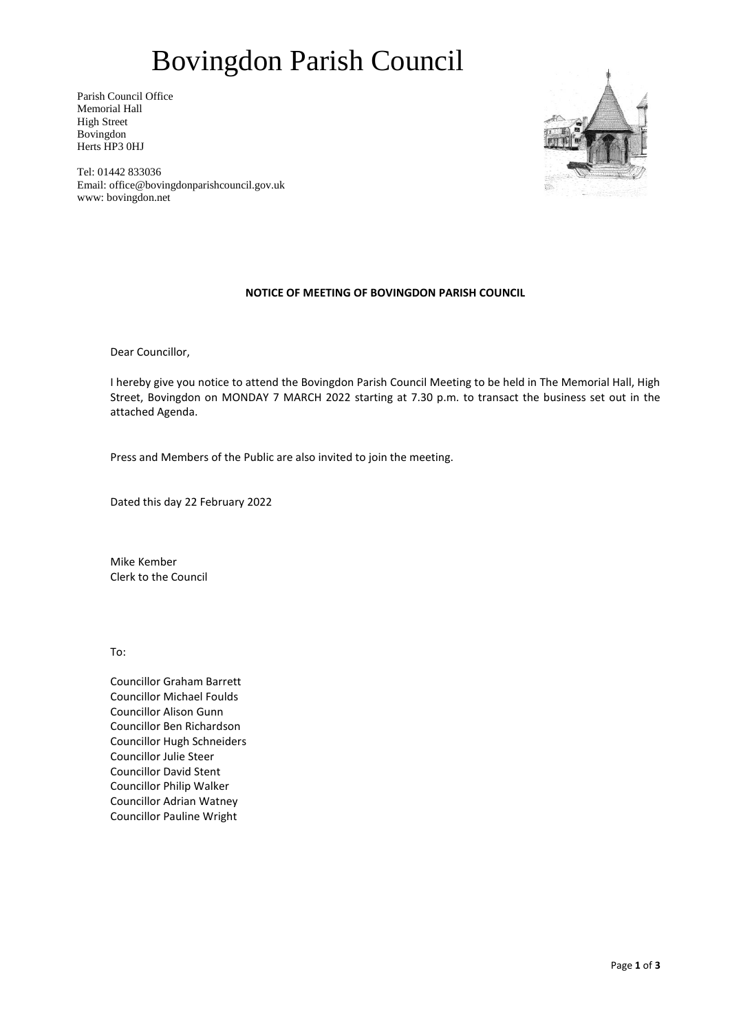# Bovingdon Parish Council

Parish Council Office Memorial Hall High Street Bovingdon Herts HP3 0HJ



Tel: 01442 833036 Email: office@bovingdonparishcouncil.gov.uk www: bovingdon.net

### **NOTICE OF MEETING OF BOVINGDON PARISH COUNCIL**

Dear Councillor,

I hereby give you notice to attend the Bovingdon Parish Council Meeting to be held in The Memorial Hall, High Street, Bovingdon on MONDAY 7 MARCH 2022 starting at 7.30 p.m. to transact the business set out in the attached Agenda.

Press and Members of the Public are also invited to join the meeting.

Dated this day 22 February 2022

Mike Kember Clerk to the Council

To:

Councillor Graham Barrett Councillor Michael Foulds Councillor Alison Gunn Councillor Ben Richardson Councillor Hugh Schneiders Councillor Julie Steer Councillor David Stent Councillor Philip Walker Councillor Adrian Watney Councillor Pauline Wright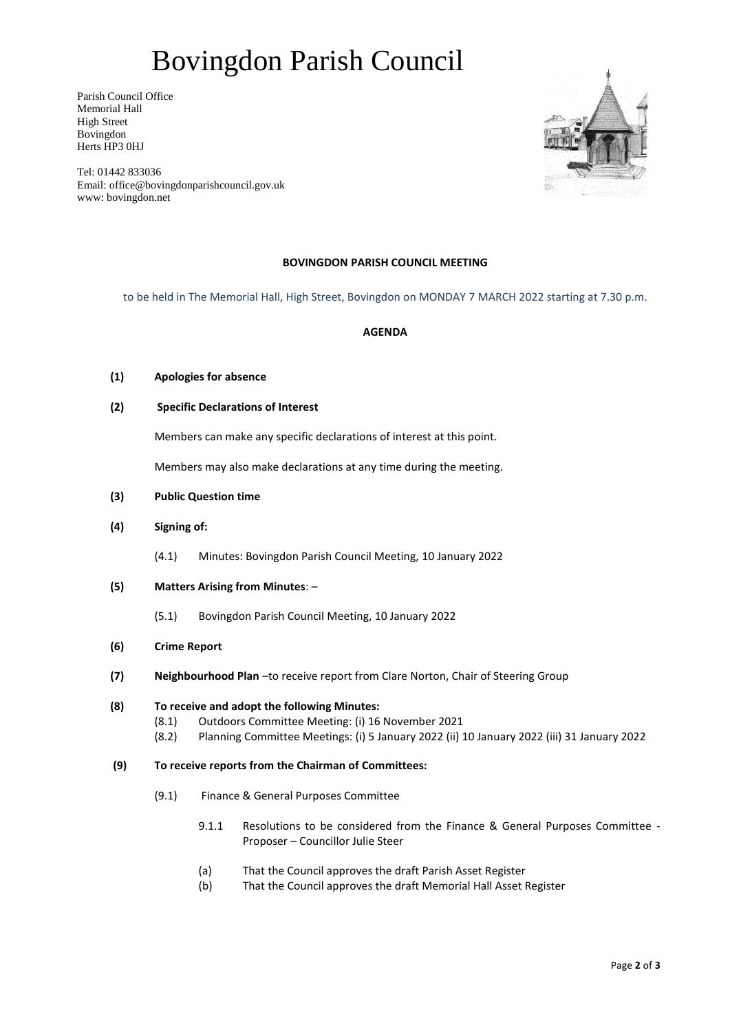# Bovingdon Parish Council

Parish Council Office Memorial Hall High Street Bovingdon Herts HP3 0HJ



Tel: 01442 833036 Email: office@bovingdonparishcouncil.gov.uk www: bovingdon.net

## **BOVINGDON PARISH COUNCIL MEETING**

to be held in The Memorial Hall, High Street, Bovingdon on MONDAY 7 MARCH 2022 starting at 7.30 p.m.

#### **AGENDA**

- **(1) Apologies for absence**
- **(2) Specific Declarations of Interest**

Members can make any specific declarations of interest at this point.

Members may also make declarations at any time during the meeting.

- **(3) Public Question time**
- **(4) Signing of:** 
	- (4.1) Minutes: Bovingdon Parish Council Meeting, 10 January 2022
- **(5) Matters Arising from Minutes**:
	- (5.1) Bovingdon Parish Council Meeting, 10 January 2022
- **(6) Crime Report**
- **(7) Neighbourhood Plan** –to receive report from Clare Norton, Chair of Steering Group

#### **(8) To receive and adopt the following Minutes:**

- (8.1) Outdoors Committee Meeting: (i) 16 November 2021
- (8.2) Planning Committee Meetings: (i) 5 January 2022 (ii) 10 January 2022 (iii) 31 January 2022

#### **(9) To receive reports from the Chairman of Committees:**

- (9.1) Finance & General Purposes Committee
	- 9.1.1 Resolutions to be considered from the Finance & General Purposes Committee Proposer – Councillor Julie Steer
	- (a) That the Council approves the draft Parish Asset Register
	- (b) That the Council approves the draft Memorial Hall Asset Register